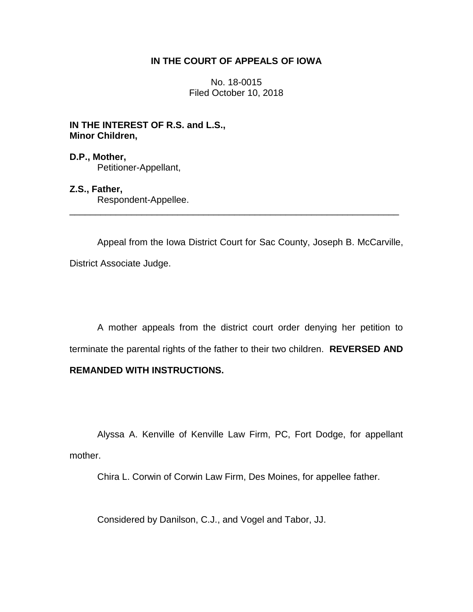## **IN THE COURT OF APPEALS OF IOWA**

No. 18-0015 Filed October 10, 2018

**IN THE INTEREST OF R.S. and L.S., Minor Children,**

**D.P., Mother,** Petitioner-Appellant,

**Z.S., Father,** Respondent-Appellee.

Appeal from the Iowa District Court for Sac County, Joseph B. McCarville, District Associate Judge.

\_\_\_\_\_\_\_\_\_\_\_\_\_\_\_\_\_\_\_\_\_\_\_\_\_\_\_\_\_\_\_\_\_\_\_\_\_\_\_\_\_\_\_\_\_\_\_\_\_\_\_\_\_\_\_\_\_\_\_\_\_\_\_\_

A mother appeals from the district court order denying her petition to terminate the parental rights of the father to their two children. **REVERSED AND** 

# **REMANDED WITH INSTRUCTIONS.**

Alyssa A. Kenville of Kenville Law Firm, PC, Fort Dodge, for appellant mother.

Chira L. Corwin of Corwin Law Firm, Des Moines, for appellee father.

Considered by Danilson, C.J., and Vogel and Tabor, JJ.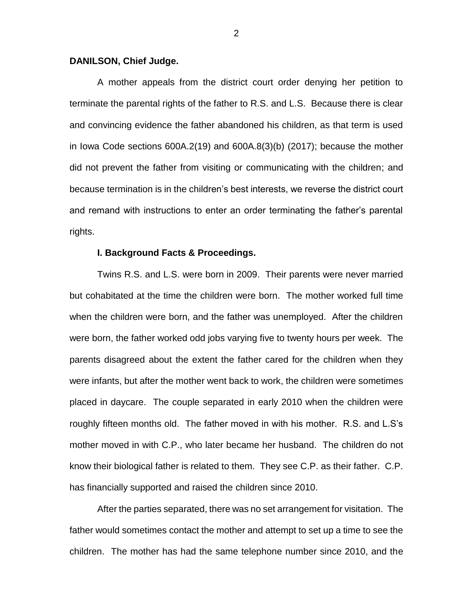#### **DANILSON, Chief Judge.**

A mother appeals from the district court order denying her petition to terminate the parental rights of the father to R.S. and L.S. Because there is clear and convincing evidence the father abandoned his children, as that term is used in Iowa Code sections 600A.2(19) and 600A.8(3)(b) (2017); because the mother did not prevent the father from visiting or communicating with the children; and because termination is in the children's best interests, we reverse the district court and remand with instructions to enter an order terminating the father's parental rights.

### **I. Background Facts & Proceedings.**

Twins R.S. and L.S. were born in 2009. Their parents were never married but cohabitated at the time the children were born. The mother worked full time when the children were born, and the father was unemployed. After the children were born, the father worked odd jobs varying five to twenty hours per week. The parents disagreed about the extent the father cared for the children when they were infants, but after the mother went back to work, the children were sometimes placed in daycare. The couple separated in early 2010 when the children were roughly fifteen months old. The father moved in with his mother. R.S. and L.S's mother moved in with C.P., who later became her husband. The children do not know their biological father is related to them. They see C.P. as their father. C.P. has financially supported and raised the children since 2010.

After the parties separated, there was no set arrangement for visitation. The father would sometimes contact the mother and attempt to set up a time to see the children. The mother has had the same telephone number since 2010, and the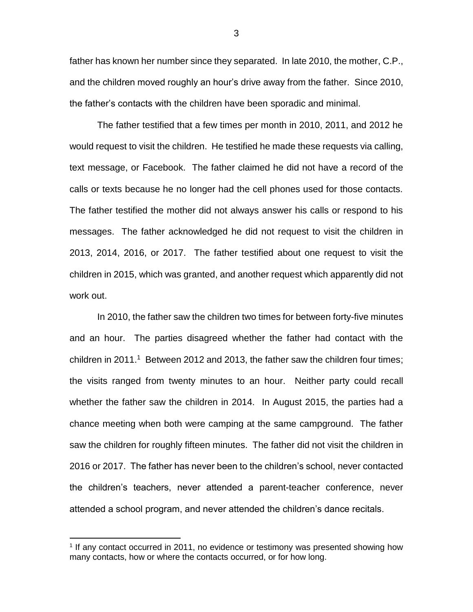father has known her number since they separated. In late 2010, the mother, C.P., and the children moved roughly an hour's drive away from the father. Since 2010, the father's contacts with the children have been sporadic and minimal.

The father testified that a few times per month in 2010, 2011, and 2012 he would request to visit the children. He testified he made these requests via calling, text message, or Facebook. The father claimed he did not have a record of the calls or texts because he no longer had the cell phones used for those contacts. The father testified the mother did not always answer his calls or respond to his messages. The father acknowledged he did not request to visit the children in 2013, 2014, 2016, or 2017. The father testified about one request to visit the children in 2015, which was granted, and another request which apparently did not work out.

In 2010, the father saw the children two times for between forty-five minutes and an hour. The parties disagreed whether the father had contact with the children in 2011.<sup>1</sup> Between 2012 and 2013, the father saw the children four times; the visits ranged from twenty minutes to an hour. Neither party could recall whether the father saw the children in 2014. In August 2015, the parties had a chance meeting when both were camping at the same campground. The father saw the children for roughly fifteen minutes. The father did not visit the children in 2016 or 2017. The father has never been to the children's school, never contacted the children's teachers, never attended a parent-teacher conference, never attended a school program, and never attended the children's dance recitals.

 $\overline{a}$ 

<sup>&</sup>lt;sup>1</sup> If any contact occurred in 2011, no evidence or testimony was presented showing how many contacts, how or where the contacts occurred, or for how long.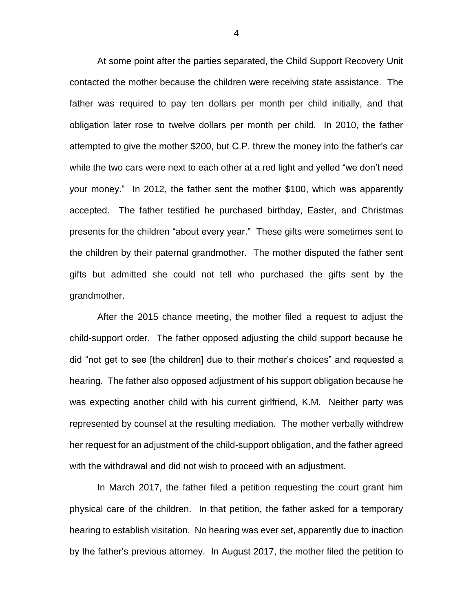At some point after the parties separated, the Child Support Recovery Unit contacted the mother because the children were receiving state assistance. The father was required to pay ten dollars per month per child initially, and that obligation later rose to twelve dollars per month per child. In 2010, the father attempted to give the mother \$200, but C.P. threw the money into the father's car while the two cars were next to each other at a red light and yelled "we don't need your money." In 2012, the father sent the mother \$100, which was apparently accepted. The father testified he purchased birthday, Easter, and Christmas presents for the children "about every year." These gifts were sometimes sent to the children by their paternal grandmother. The mother disputed the father sent gifts but admitted she could not tell who purchased the gifts sent by the grandmother.

After the 2015 chance meeting, the mother filed a request to adjust the child-support order. The father opposed adjusting the child support because he did "not get to see [the children] due to their mother's choices" and requested a hearing. The father also opposed adjustment of his support obligation because he was expecting another child with his current girlfriend, K.M. Neither party was represented by counsel at the resulting mediation. The mother verbally withdrew her request for an adjustment of the child-support obligation, and the father agreed with the withdrawal and did not wish to proceed with an adjustment.

In March 2017, the father filed a petition requesting the court grant him physical care of the children. In that petition, the father asked for a temporary hearing to establish visitation. No hearing was ever set, apparently due to inaction by the father's previous attorney. In August 2017, the mother filed the petition to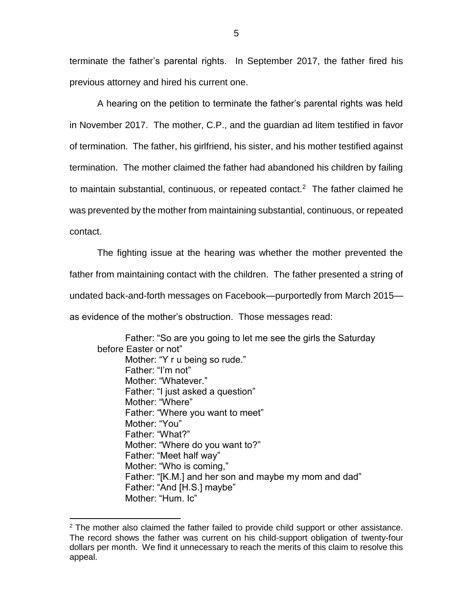terminate the father's parental rights. In September 2017, the father fired his previous attorney and hired his current one.

A hearing on the petition to terminate the father's parental rights was held in November 2017. The mother, C.P., and the guardian ad litem testified in favor of termination. The father, his girlfriend, his sister, and his mother testified against termination. The mother claimed the father had abandoned his children by failing to maintain substantial, continuous, or repeated contact.<sup>2</sup> The father claimed he was prevented by the mother from maintaining substantial, continuous, or repeated contact.

The fighting issue at the hearing was whether the mother prevented the father from maintaining contact with the children. The father presented a string of undated back-and-forth messages on Facebook—purportedly from March 2015 as evidence of the mother's obstruction. Those messages read:

Father: "So are you going to let me see the girls the Saturday before Easter or not" Mother: "Y r u being so rude." Father: "I'm not" Mother: "Whatever." Father: "I just asked a question" Mother: "Where" Father: "Where you want to meet" Mother: "You" Father: "What?" Mother: "Where do you want to?" Father: "Meet half way" Mother: "Who is coming," Father: "[K.M.] and her son and maybe my mom and dad" Father: "And [H.S.] maybe" Mother: "Hum. Ic"

 $\overline{a}$ 

 $2$  The mother also claimed the father failed to provide child support or other assistance. The record shows the father was current on his child-support obligation of twenty-four dollars per month. We find it unnecessary to reach the merits of this claim to resolve this appeal.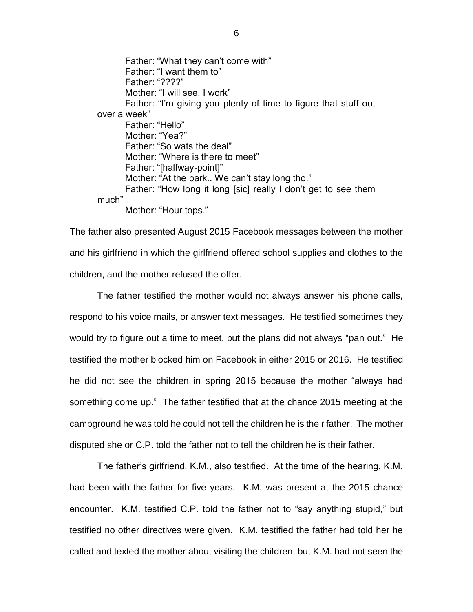Father: "What they can't come with" Father: "I want them to" Father: "????" Mother: "I will see, I work" Father: "I'm giving you plenty of time to figure that stuff out over a week" Father: "Hello" Mother: "Yea?" Father: "So wats the deal" Mother: "Where is there to meet" Father: "[halfway-point]" Mother: "At the park.. We can't stay long tho." Father: "How long it long [sic] really I don't get to see them much" Mother: "Hour tops."

The father also presented August 2015 Facebook messages between the mother and his girlfriend in which the girlfriend offered school supplies and clothes to the children, and the mother refused the offer.

The father testified the mother would not always answer his phone calls, respond to his voice mails, or answer text messages. He testified sometimes they would try to figure out a time to meet, but the plans did not always "pan out." He testified the mother blocked him on Facebook in either 2015 or 2016. He testified he did not see the children in spring 2015 because the mother "always had something come up." The father testified that at the chance 2015 meeting at the campground he was told he could not tell the children he is their father. The mother disputed she or C.P. told the father not to tell the children he is their father.

The father's girlfriend, K.M., also testified. At the time of the hearing, K.M. had been with the father for five years. K.M. was present at the 2015 chance encounter. K.M. testified C.P. told the father not to "say anything stupid," but testified no other directives were given. K.M. testified the father had told her he called and texted the mother about visiting the children, but K.M. had not seen the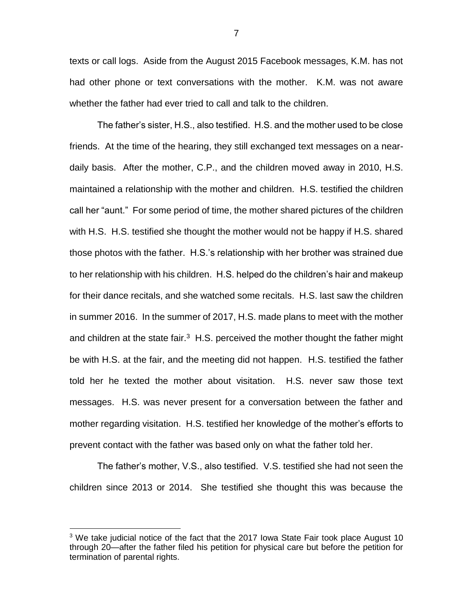texts or call logs. Aside from the August 2015 Facebook messages, K.M. has not had other phone or text conversations with the mother. K.M. was not aware whether the father had ever tried to call and talk to the children.

The father's sister, H.S., also testified. H.S. and the mother used to be close friends. At the time of the hearing, they still exchanged text messages on a neardaily basis. After the mother, C.P., and the children moved away in 2010, H.S. maintained a relationship with the mother and children. H.S. testified the children call her "aunt." For some period of time, the mother shared pictures of the children with H.S. H.S. testified she thought the mother would not be happy if H.S. shared those photos with the father. H.S.'s relationship with her brother was strained due to her relationship with his children. H.S. helped do the children's hair and makeup for their dance recitals, and she watched some recitals. H.S. last saw the children in summer 2016. In the summer of 2017, H.S. made plans to meet with the mother and children at the state fair. $3$  H.S. perceived the mother thought the father might be with H.S. at the fair, and the meeting did not happen. H.S. testified the father told her he texted the mother about visitation. H.S. never saw those text messages. H.S. was never present for a conversation between the father and mother regarding visitation. H.S. testified her knowledge of the mother's efforts to prevent contact with the father was based only on what the father told her.

The father's mother, V.S., also testified. V.S. testified she had not seen the children since 2013 or 2014. She testified she thought this was because the

 $\overline{a}$ 

 $3$  We take judicial notice of the fact that the 2017 Iowa State Fair took place August 10 through 20—after the father filed his petition for physical care but before the petition for termination of parental rights.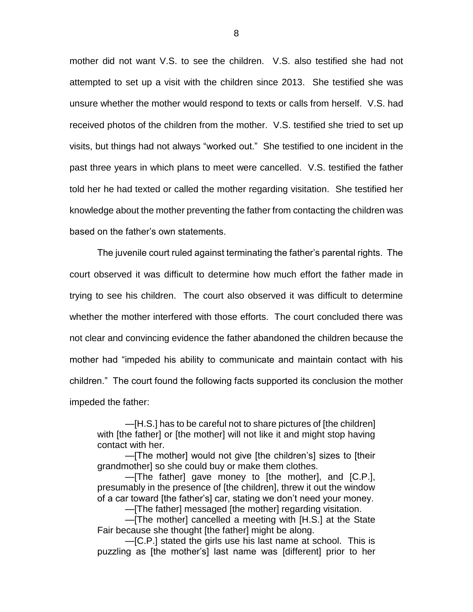mother did not want V.S. to see the children. V.S. also testified she had not attempted to set up a visit with the children since 2013. She testified she was unsure whether the mother would respond to texts or calls from herself. V.S. had received photos of the children from the mother. V.S. testified she tried to set up visits, but things had not always "worked out." She testified to one incident in the past three years in which plans to meet were cancelled. V.S. testified the father told her he had texted or called the mother regarding visitation. She testified her knowledge about the mother preventing the father from contacting the children was based on the father's own statements.

The juvenile court ruled against terminating the father's parental rights. The court observed it was difficult to determine how much effort the father made in trying to see his children. The court also observed it was difficult to determine whether the mother interfered with those efforts. The court concluded there was not clear and convincing evidence the father abandoned the children because the mother had "impeded his ability to communicate and maintain contact with his children." The court found the following facts supported its conclusion the mother impeded the father:

—[H.S.] has to be careful not to share pictures of [the children] with [the father] or [the mother] will not like it and might stop having contact with her.

—[The mother] would not give [the children's] sizes to [their grandmother] so she could buy or make them clothes.

—[The father] gave money to [the mother], and [C.P.], presumably in the presence of [the children], threw it out the window of a car toward [the father's] car, stating we don't need your money.

—[The father] messaged [the mother] regarding visitation.

—[The mother] cancelled a meeting with [H.S.] at the State Fair because she thought [the father] might be along.

—[C.P.] stated the girls use his last name at school. This is puzzling as [the mother's] last name was [different] prior to her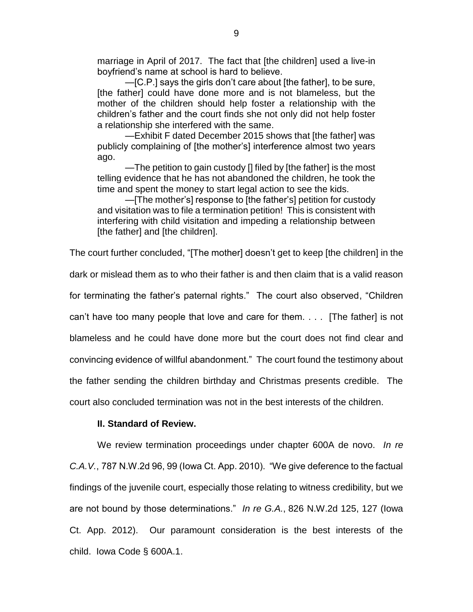marriage in April of 2017. The fact that [the children] used a live-in boyfriend's name at school is hard to believe.

—[C.P.] says the girls don't care about [the father], to be sure, [the father] could have done more and is not blameless, but the mother of the children should help foster a relationship with the children's father and the court finds she not only did not help foster a relationship she interfered with the same.

—Exhibit F dated December 2015 shows that [the father] was publicly complaining of [the mother's] interference almost two years ago.

—The petition to gain custody [] filed by [the father] is the most telling evidence that he has not abandoned the children, he took the time and spent the money to start legal action to see the kids.

—[The mother's] response to [the father's] petition for custody and visitation was to file a termination petition! This is consistent with interfering with child visitation and impeding a relationship between [the father] and [the children].

The court further concluded, "[The mother] doesn't get to keep [the children] in the

dark or mislead them as to who their father is and then claim that is a valid reason

for terminating the father's paternal rights." The court also observed, "Children

can't have too many people that love and care for them. . . . [The father] is not

blameless and he could have done more but the court does not find clear and

convincing evidence of willful abandonment." The court found the testimony about

the father sending the children birthday and Christmas presents credible. The

court also concluded termination was not in the best interests of the children.

#### **II. Standard of Review.**

We review termination proceedings under chapter 600A de novo. *In re C.A.V.*, 787 N.W.2d 96, 99 (Iowa Ct. App. 2010). "We give deference to the factual findings of the juvenile court, especially those relating to witness credibility, but we are not bound by those determinations." *In re G.A.*, 826 N.W.2d 125, 127 (Iowa Ct. App. 2012). Our paramount consideration is the best interests of the child. Iowa Code § 600A.1.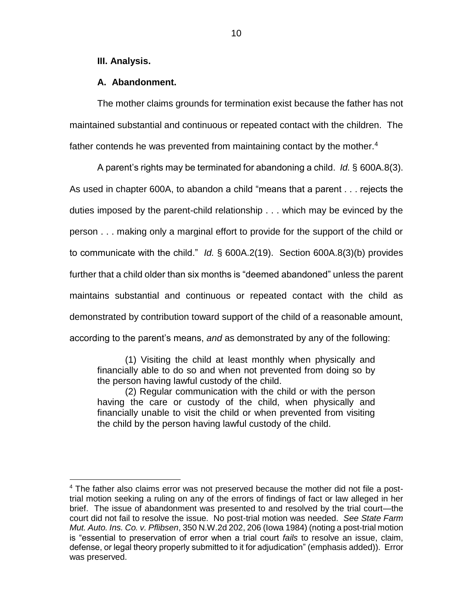### **III. Analysis.**

 $\overline{a}$ 

## **A. Abandonment.**

The mother claims grounds for termination exist because the father has not maintained substantial and continuous or repeated contact with the children. The father contends he was prevented from maintaining contact by the mother.<sup>4</sup>

A parent's rights may be terminated for abandoning a child. *Id.* § 600A.8(3). As used in chapter 600A, to abandon a child "means that a parent . . . rejects the duties imposed by the parent-child relationship . . . which may be evinced by the person . . . making only a marginal effort to provide for the support of the child or to communicate with the child." *Id.* § 600A.2(19). Section 600A.8(3)(b) provides further that a child older than six months is "deemed abandoned" unless the parent maintains substantial and continuous or repeated contact with the child as demonstrated by contribution toward support of the child of a reasonable amount, according to the parent's means, *and* as demonstrated by any of the following:

(1) Visiting the child at least monthly when physically and financially able to do so and when not prevented from doing so by the person having lawful custody of the child.

(2) Regular communication with the child or with the person having the care or custody of the child, when physically and financially unable to visit the child or when prevented from visiting the child by the person having lawful custody of the child.

 $4$  The father also claims error was not preserved because the mother did not file a posttrial motion seeking a ruling on any of the errors of findings of fact or law alleged in her brief. The issue of abandonment was presented to and resolved by the trial court—the court did not fail to resolve the issue. No post-trial motion was needed. *See State Farm Mut. Auto. Ins. Co. v. Pflibsen*, 350 N.W.2d 202, 206 (Iowa 1984) (noting a post-trial motion is "essential to preservation of error when a trial court *fails* to resolve an issue, claim, defense, or legal theory properly submitted to it for adjudication" (emphasis added)).Error was preserved.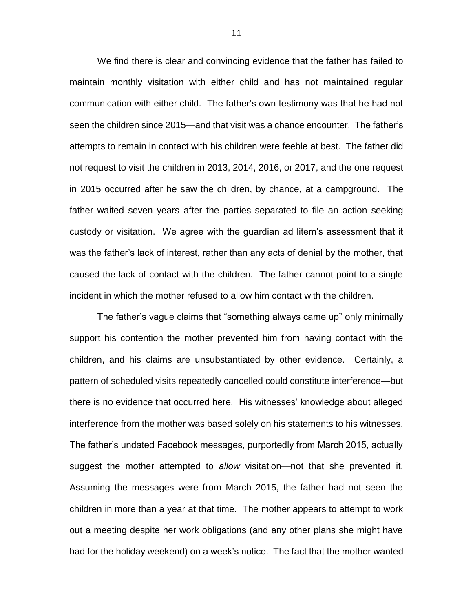We find there is clear and convincing evidence that the father has failed to maintain monthly visitation with either child and has not maintained regular communication with either child. The father's own testimony was that he had not seen the children since 2015—and that visit was a chance encounter. The father's attempts to remain in contact with his children were feeble at best. The father did not request to visit the children in 2013, 2014, 2016, or 2017, and the one request in 2015 occurred after he saw the children, by chance, at a campground. The father waited seven years after the parties separated to file an action seeking custody or visitation. We agree with the guardian ad litem's assessment that it was the father's lack of interest, rather than any acts of denial by the mother, that caused the lack of contact with the children. The father cannot point to a single incident in which the mother refused to allow him contact with the children.

The father's vague claims that "something always came up" only minimally support his contention the mother prevented him from having contact with the children, and his claims are unsubstantiated by other evidence. Certainly, a pattern of scheduled visits repeatedly cancelled could constitute interference—but there is no evidence that occurred here. His witnesses' knowledge about alleged interference from the mother was based solely on his statements to his witnesses. The father's undated Facebook messages, purportedly from March 2015, actually suggest the mother attempted to *allow* visitation—not that she prevented it. Assuming the messages were from March 2015, the father had not seen the children in more than a year at that time. The mother appears to attempt to work out a meeting despite her work obligations (and any other plans she might have had for the holiday weekend) on a week's notice. The fact that the mother wanted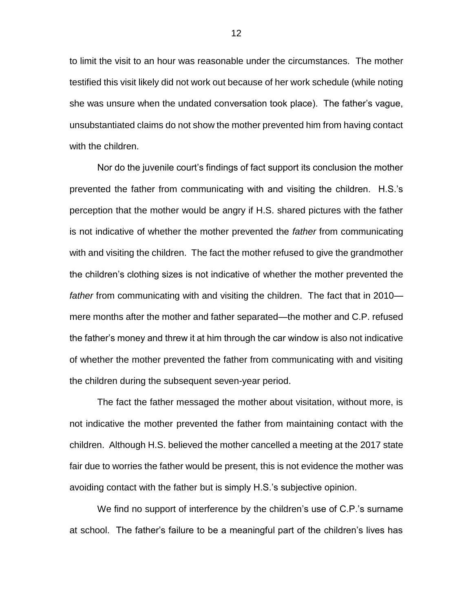to limit the visit to an hour was reasonable under the circumstances. The mother testified this visit likely did not work out because of her work schedule (while noting she was unsure when the undated conversation took place). The father's vague, unsubstantiated claims do not show the mother prevented him from having contact with the children.

Nor do the juvenile court's findings of fact support its conclusion the mother prevented the father from communicating with and visiting the children. H.S.'s perception that the mother would be angry if H.S. shared pictures with the father is not indicative of whether the mother prevented the *father* from communicating with and visiting the children. The fact the mother refused to give the grandmother the children's clothing sizes is not indicative of whether the mother prevented the *father* from communicating with and visiting the children. The fact that in 2010 mere months after the mother and father separated—the mother and C.P. refused the father's money and threw it at him through the car window is also not indicative of whether the mother prevented the father from communicating with and visiting the children during the subsequent seven-year period.

The fact the father messaged the mother about visitation, without more, is not indicative the mother prevented the father from maintaining contact with the children. Although H.S. believed the mother cancelled a meeting at the 2017 state fair due to worries the father would be present, this is not evidence the mother was avoiding contact with the father but is simply H.S.'s subjective opinion.

We find no support of interference by the children's use of C.P.'s surname at school. The father's failure to be a meaningful part of the children's lives has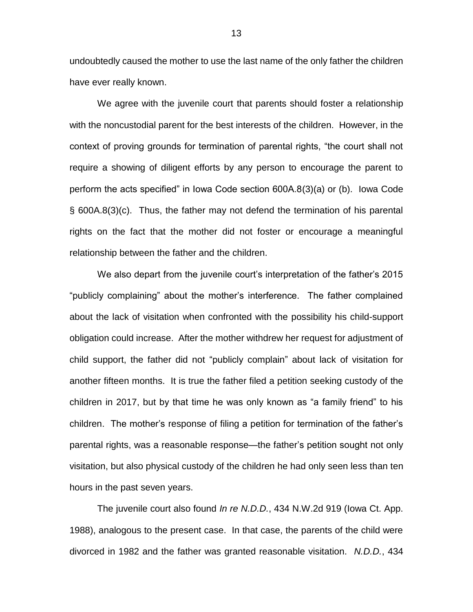undoubtedly caused the mother to use the last name of the only father the children have ever really known.

We agree with the juvenile court that parents should foster a relationship with the noncustodial parent for the best interests of the children. However, in the context of proving grounds for termination of parental rights, "the court shall not require a showing of diligent efforts by any person to encourage the parent to perform the acts specified" in Iowa Code section 600A.8(3)(a) or (b). Iowa Code § 600A.8(3)(c). Thus, the father may not defend the termination of his parental rights on the fact that the mother did not foster or encourage a meaningful relationship between the father and the children.

We also depart from the juvenile court's interpretation of the father's 2015 "publicly complaining" about the mother's interference. The father complained about the lack of visitation when confronted with the possibility his child-support obligation could increase. After the mother withdrew her request for adjustment of child support, the father did not "publicly complain" about lack of visitation for another fifteen months. It is true the father filed a petition seeking custody of the children in 2017, but by that time he was only known as "a family friend" to his children. The mother's response of filing a petition for termination of the father's parental rights, was a reasonable response—the father's petition sought not only visitation, but also physical custody of the children he had only seen less than ten hours in the past seven years.

The juvenile court also found *In re N.D.D.*, 434 N.W.2d 919 (Iowa Ct. App. 1988), analogous to the present case. In that case, the parents of the child were divorced in 1982 and the father was granted reasonable visitation. *N.D.D.*, 434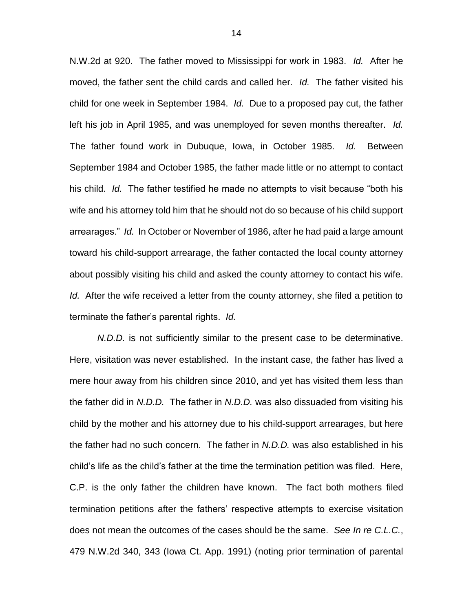N.W.2d at 920. The father moved to Mississippi for work in 1983. *Id.* After he moved, the father sent the child cards and called her. *Id.* The father visited his child for one week in September 1984. *Id.* Due to a proposed pay cut, the father left his job in April 1985, and was unemployed for seven months thereafter. *Id.* The father found work in Dubuque, Iowa, in October 1985. *Id.* Between September 1984 and October 1985, the father made little or no attempt to contact his child. *Id.* The father testified he made no attempts to visit because "both his wife and his attorney told him that he should not do so because of his child support arrearages." *Id.* In October or November of 1986, after he had paid a large amount toward his child-support arrearage, the father contacted the local county attorney about possibly visiting his child and asked the county attorney to contact his wife. *Id.* After the wife received a letter from the county attorney, she filed a petition to terminate the father's parental rights. *Id.*

*N.D.D.* is not sufficiently similar to the present case to be determinative. Here, visitation was never established. In the instant case, the father has lived a mere hour away from his children since 2010, and yet has visited them less than the father did in *N.D.D.* The father in *N.D.D.* was also dissuaded from visiting his child by the mother and his attorney due to his child-support arrearages, but here the father had no such concern. The father in *N.D.D.* was also established in his child's life as the child's father at the time the termination petition was filed. Here, C.P. is the only father the children have known. The fact both mothers filed termination petitions after the fathers' respective attempts to exercise visitation does not mean the outcomes of the cases should be the same. *See In re C.L.C.*, 479 N.W.2d 340, 343 (Iowa Ct. App. 1991) (noting prior termination of parental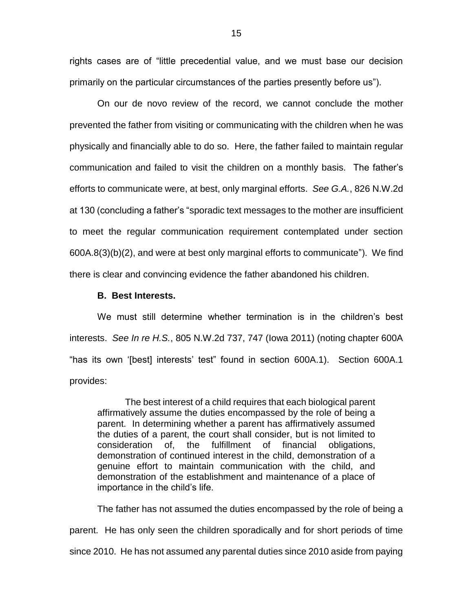rights cases are of "little precedential value, and we must base our decision primarily on the particular circumstances of the parties presently before us").

On our de novo review of the record, we cannot conclude the mother prevented the father from visiting or communicating with the children when he was physically and financially able to do so. Here, the father failed to maintain regular communication and failed to visit the children on a monthly basis. The father's efforts to communicate were, at best, only marginal efforts. *See G.A.*, 826 N.W.2d at 130 (concluding a father's "sporadic text messages to the mother are insufficient to meet the regular communication requirement contemplated under section 600A.8(3)(b)(2), and were at best only marginal efforts to communicate"). We find there is clear and convincing evidence the father abandoned his children.

#### **B. Best Interests.**

We must still determine whether termination is in the children's best interests. *See In re H.S.*, 805 N.W.2d 737, 747 (Iowa 2011) (noting chapter 600A "has its own '[best] interests' test" found in section 600A.1). Section 600A.1 provides:

The best interest of a child requires that each biological parent affirmatively assume the duties encompassed by the role of being a parent. In determining whether a parent has affirmatively assumed the duties of a parent, the court shall consider, but is not limited to consideration of, the fulfillment of financial obligations, demonstration of continued interest in the child, demonstration of a genuine effort to maintain communication with the child, and demonstration of the establishment and maintenance of a place of importance in the child's life.

The father has not assumed the duties encompassed by the role of being a parent. He has only seen the children sporadically and for short periods of time since 2010. He has not assumed any parental duties since 2010 aside from paying